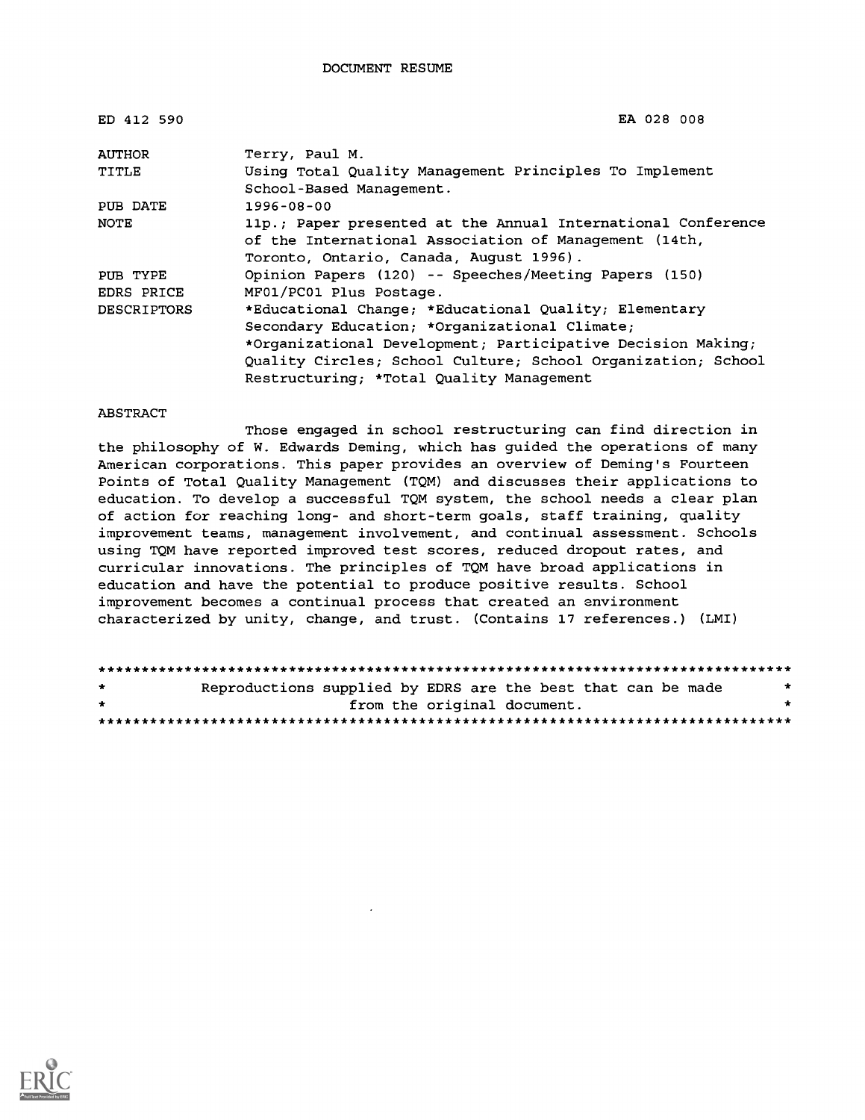| ED 412 590         | EA 028 008                                                   |
|--------------------|--------------------------------------------------------------|
| AUTHOR             | Terry, Paul M.                                               |
| TITLE              | Using Total Quality Management Principles To Implement       |
|                    | School-Based Management.                                     |
| PUB DATE           | $1996 - 08 - 00$                                             |
| NOTE               | 11p.; Paper presented at the Annual International Conference |
|                    | of the International Association of Management (14th,        |
|                    | Toronto, Ontario, Canada, August 1996).                      |
| PUB TYPE           | Opinion Papers (120) -- Speeches/Meeting Papers (150)        |
| EDRS PRICE         | MF01/PC01 Plus Postage.                                      |
| <b>DESCRIPTORS</b> | *Educational Change; *Educational Quality; Elementary        |
|                    | Secondary Education; *Organizational Climate;                |
|                    | *Organizational Development; Participative Decision Making;  |
|                    | Quality Circles; School Culture; School Organization; School |
|                    | Restructuring; *Total Quality Management                     |

#### ABSTRACT

Those engaged in school restructuring can find direction in the philosophy of W. Edwards Deming, which has guided the operations of many American corporations. This paper provides an overview of Deming's Fourteen Points of Total Quality Management (TQM) and discusses their applications to education. To develop a successful TQM system, the school needs a clear plan of action for reaching long- and short-term goals, staff training, quality improvement teams, management involvement, and continual assessment. Schools using TQM have reported improved test scores, reduced dropout rates, and curricular innovations. The principles of TQM have broad applications in education and have the potential to produce positive results. School improvement becomes a continual process that created an environment characterized by unity, change, and trust. (Contains 17 references.) (LMI)

| $\star$ | Reproductions supplied by EDRS are the best that can be made |  |                             |  | $\star$ |
|---------|--------------------------------------------------------------|--|-----------------------------|--|---------|
| $\cdot$ |                                                              |  | from the original document. |  |         |
|         |                                                              |  |                             |  |         |

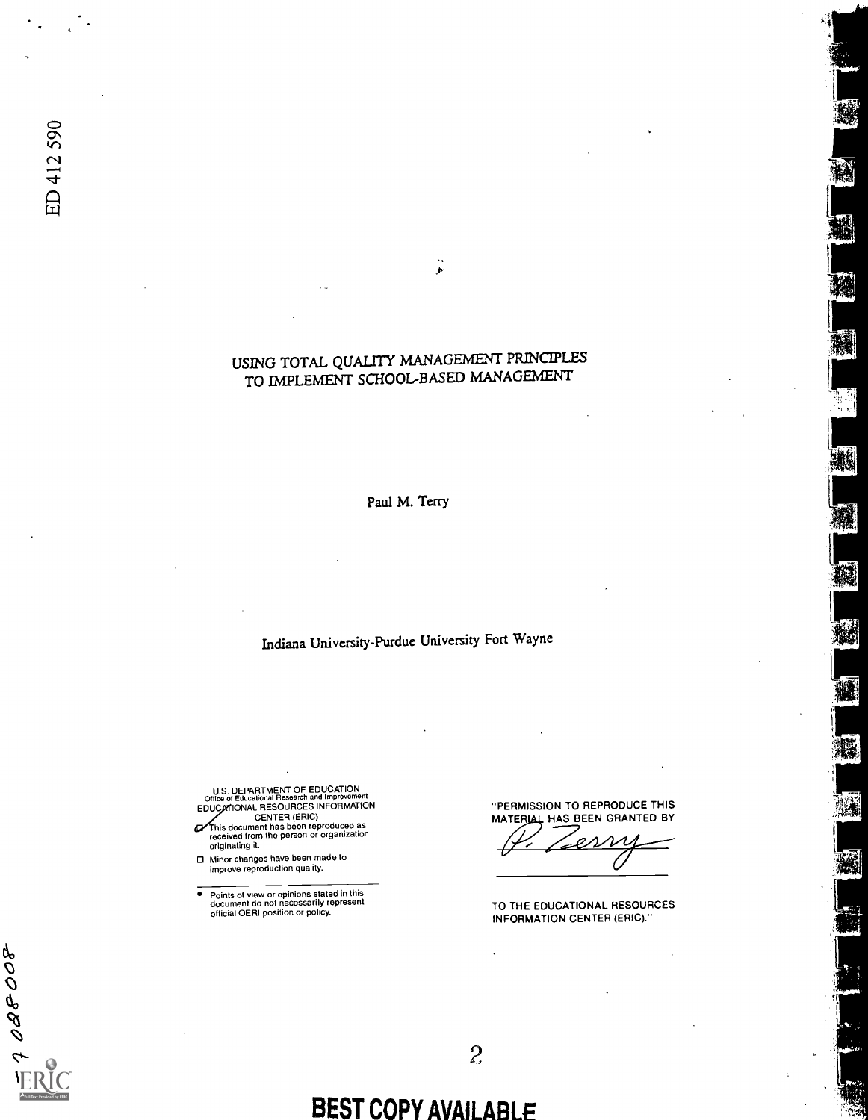A OBBOB

## USING TOTAL QUALITY MANAGEMENT PRINCIPLES TO IMPLEMENT SCHOOL-BASED MANAGEMENT

Paul M. Terry

Indiana University-Purdue University Fort Wayne

U.S. DEPARTMENT OF EDUCATION<br>Office of Educational Research and Improvement<br>EDUCATIONAL RESOURCES INFORMATION

- CENTER (ERIC) This document has been reproduced as received from the person or organization originating it.  $\sigma$
- Minor changes have been made to improve reproduction quality.
- 7 Points of view or opinions stated in this document do not necessarily represent official OERI position or policy.

"PERMISSION TO REPRODUCE THIS MATERIAL HAS BEEN GRANTED BY N

醐

W.

¥

IA.

Ä

TO THE EDUCATIONAL RESOURCES INFORMATION CENTER (ERIC)."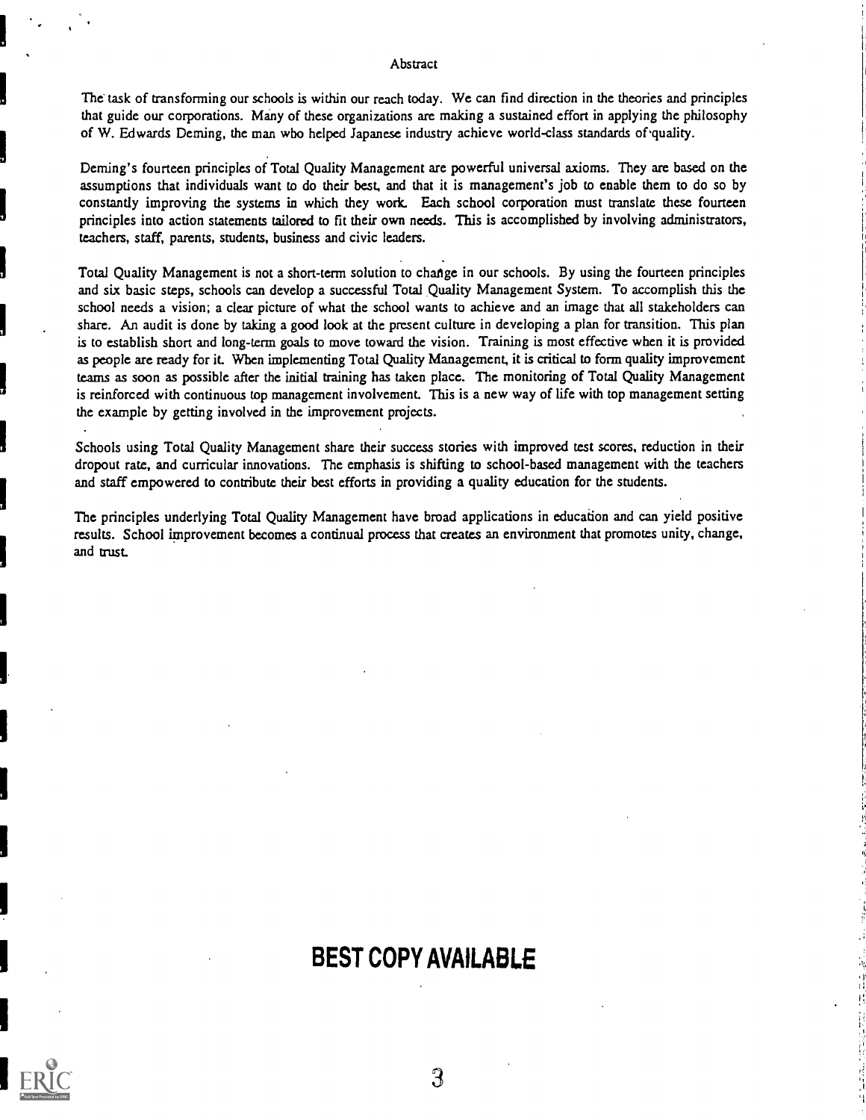### Abstract

The task of transforming our schools is within our reach today. We can find direction in the theories and principles that guide our corporations. Many of these organizations are making a sustained effort in applying the philosophy of W. Edwards Deming, the man who helped Japanese industry achieve world-class standards of'quality.

Deming's fourteen principles of Total Quality Management are powerful universal axioms. They are based on the assumptions that individuals want to do their best, and that it is management's job to enable them to do so by constantly improving the systems in which they work. Each school corporation must translate these fourteen principles into action statements tailored to fit their own needs. This is accomplished by involving administrators, teachers, staff, parents, students, business and civic leaders.

Total Quality Management is not a short-term solution to change in our schools. By using the fourteen principles and six basic steps, schools can develop a successful Total Quality Management System. To accomplish this the school needs a vision; a clear picture of what the school wants to achieve and an image that all stakeholders can share. An audit is done by taking a good look at the present culture in developing a plan for transition. This plan is to establish short and long-term goals to move toward the vision. Training is most effective when it is provided as people are ready for it When implementing Total Quality Management, it is critical to form quality improvement teams as soon as possible after the initial training has taken place. The monitoring of Total Quality Management is reinforced with continuous top management involvement. This is a new way of life with top management setting the example by getting involved in the improvement projects.

Schools using Total Quality Management share their success stories with improved test scores, reduction in their dropout rate, and curricular innovations. The emphasis is shifting to school-based management with the teachers and staff empowered to contribute their best efforts in providing a quality education for the students.

The principles underlying Total Quality Management have broad applications in education and can yield positive results. School improvement becomes a continual process that creates an environment that promotes unity, change, and trust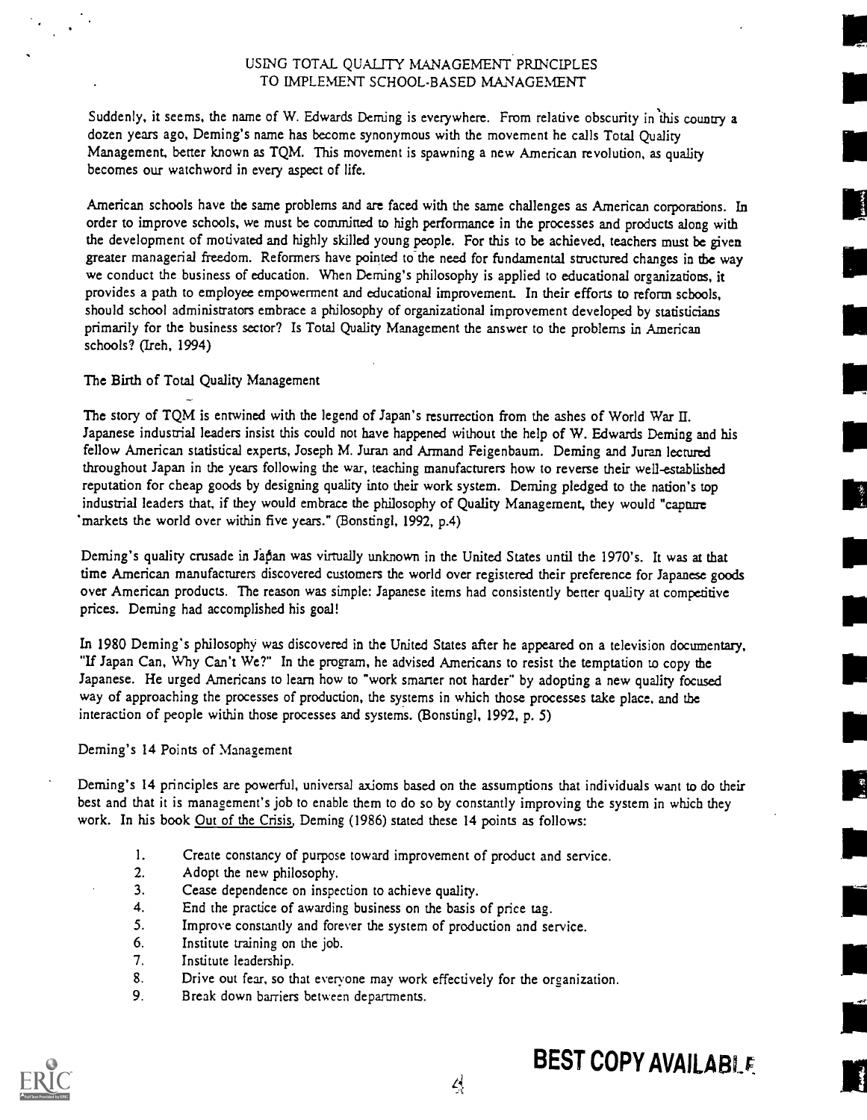### USLNG TOTAL QUALITY MANAGEMENT PRINCIPLES TO IMPLEMENT SCHOOL-BASED MANAGEMENT

Suddenly, it seems, the name of W. Edwards Deming is everywhere. From relative obscurity in this country a dozen years ago, Deming's name has become synonymous with the movement he calls Total Quality Management, better known as TQM. This movement is spawning a new American revolution, as quality becomes our watchword in every aspect of life.

American schools have the same problems and are faced with the same challenges as American corporations. In order to improve schools, we must be committed to high performance in the processes and products along with the development of motivated and highly skilled young people. For this to be achieved, teachers must be given greater managerial freedom. Reformers have pointed to the need for fundamental structured changes in the way we conduct the business of education. When Deming's philosophy is applied to educational organizations, it provides a path to employee empowerment and educational improvement. In their efforts to reform schools, should school administrators embrace a philosophy of organizational improvement developed by statisticians primarily for the business sector? Is Total Quality Management the answer to the problems in American schools? (Ireh, 1994)

### The Birth of Total Quality Management

The story of TQM is entwined with the legend of Japan's resurrection from the ashes of World War II. Japanese industrial leaders insist this could not have happened without the help of W. Edwards Deming and his fellow American statistical experts, Joseph M. Juran and Armand Feigenbaum. Deming and Juran lectured throughout Japan in the years following the war, teaching manufacturers how to reverse their well-established reputation for cheap goods by designing quality into their work system. Deming pledged to the nation's top industrial leaders that, if they would embrace the philosophy of Quality Management, they would "capture markets the world over within five years." (Bonstingl, 1992, p.4)

Deming's quality crusade in Japan was virtually unknown in the United States until the 1970's. It was at that time American manufacturers discovered customers the world over registered their preference for Japanese goods over American products. The reason was simple: Japanese items had consistently better quality at competitive prices. Deming had accomplished his goal!

In 1980 Deming's philosophy was discovered in the United States after he appeared on a television documentary, "If Japan Can, Why Can't We?" In the program, he advised Americans to resist the temptation to copy the Japanese. He urged Americans to learn how to "work smarter not harder" by adopting a new quality focused way of approaching the processes of production, the systems in which those processes take place, and the interaction of people within those processes and systems. (Bonstingl, 1992, p. 5)

Deming's 14 Points of Management

Deming's 14 principles are powerful, universal axioms based on the assumptions that individuals want to do their best and that it is management's job to enable them to do so by constantly improving the system in which they work. In his book Out of the Crisis, Deming (1986) stated these 14 points as follows:

삭

- 1. Create constancy of purpose toward improvement of product and service.
- 2. Adopt the new philosophy.
- 3. Cease dependence on inspection to achieve quality.
- 4. End the practice of awarding business on the basis of price tag.
- 5. Improve constantly and forever the system of production and service.
- 6. Institute training on the job.
- 7. Institute leadership.
- 8. Drive out fear, so that everyone may work effectively for the organization.
- 9. Break down barriers between departments.



 $\begin{bmatrix} 1 & 0 \\ 0 & 0 \end{bmatrix}$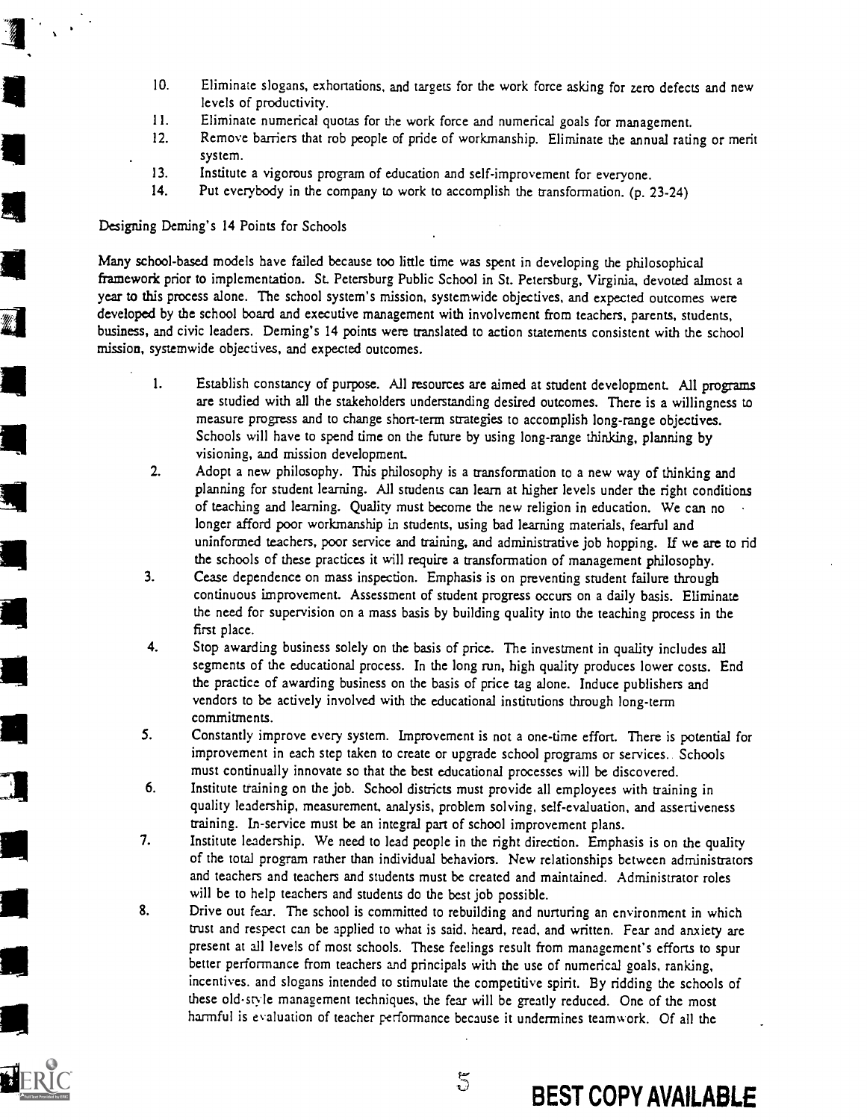- 10. Eliminate slogans, exhortations, and targets for the work force asking for zero defects and new levels of productivity.
- 11. Eliminate numerical quotas for the work force and numerical goals for management.<br>12. Remove barriers that rob people of pride of workmanship. Fliminate the annual ratio
- Remove barriers that rob people of pride of workmanship. Eliminate the annual rating or merit system.
- 13. Institute a vigorous program of education and self-improvement for everyone.
- 14. Put everybody in the company to work to accomplish the transformation. (p. 23-24)

Designing Deming's 14 Points for Schools

<u>an</u> in the set of  $\mathbf{I}$ 

1111

<sup>111</sup> Many school-based models have failed because too little time was spent in developing the philosophical framework prior to implementation. St. Petersburg Public School in St. Petersburg, Virginia, devoted almost a year to this process alone. The school system's mission, systemwide objectives, and expected outcomes were developed by the school board and executive management with involvement from teachers, parents, students, business, and civic leaders. Deming's 14 points were translated to action statements consistent with the school mission, systemwide objectives, and expected outcomes.

- 1. Establish constancy of purpose. All resources are aimed at student development. All programs are studied with all the stakeholders understanding desired outcomes. There is a willingness to measure progress and to change short-term strategies to accomplish long-range objectives. Schools will have to spend time on the future by using long-range thinking, planning by visioning, and mission development.
- 2. Adopt a new philosophy. This philosophy is a transformation to a new way of thinking and planning for student learning. All students can learn at higher levels under the right conditions of teaching and learning. Quality must become the new religion in education. We can no longer afford poor workmanship in students, using bad learning materials, fearful and uninformed teachers, poor service and training, and administrative job hopping. If we are to rid the schools of these practices it will require a transformation of management philosophy.
- 3. Cease dependence on mass inspection. Emphasis is on preventing student failure through continuous improvement. Assessment of student progress occurs on a daily basis. Eliminate <sup>111</sup> the need for supervision on a mass basis by building quality into the teaching process in the first place.
- 4. Stop awarding business solely on the basis of price. The investment in quality includes all segments of the educational process. In the long run, high quality produces lower costs. End the practice of awarding business on the basis of price tag alone. Induce publishers and vendors to be actively involved with the educational institutions through long-term commitments.
- S. Constantly improve every system. Improvement is not a one-time effort. There is potential for improvement in each step taken to create or upgrade school programs or services. Schools must continually innovate so that the best educational processes will be discovered.
- 6. Institute training on the job. School districts must provide all employees with training in quality leadership, measurement, analysis, problem solving, self-evaluation, and assertiveness training. In-service must be an integral part of school improvement plans.
- 7. Institute leadership. We need to lead people in the right direction. Emphasis is on the quality of the total program rather than individual behaviors. New relationships between administrators and teachers and teachers and students must be created and maintained. Administrator roles will be to help teachers and students do the best job possible.
- $\overline{\phantom{a}}$  8. Drive out fear. The school is committed to rebuilding and nurturing an environment in which trust and respect can be applied to what is said, heard, read, and written. Fear and anxiety are present at all levels of most schools. These feelings result from management's efforts to spur better performance from teachers and principals with the use of numerical goals, ranking, incentives. and slogans intended to stimulate the competitive spirit. By ridding the schools of these old-style management techniques, the fear will be greatly reduced. One of the most harmful is evaluation of teacher performance because it undermines teamwork. Of all the

 $5\overline{5}$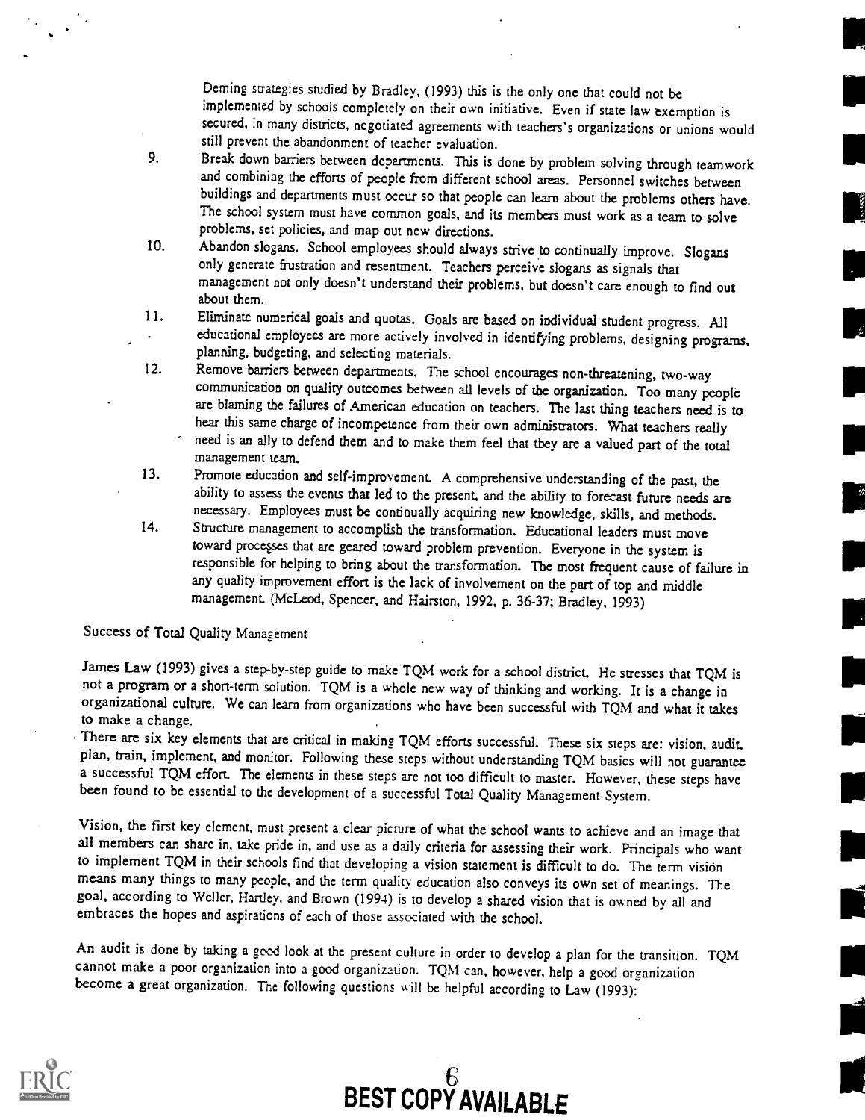Deming strategies studied by Bradley, (1993) this is the only one that could not be implemented by schools completely on their own initiative. Even if state law exemption is secured, in many districts, negotiated agreements with teachers's organizations or unions would still prevent the abandonment of teacher evaluation.

- 9. Break down barriers between departments. This is done by problem solving through teamwork and combining the efforts of people from different school areas. Personnel switches between buildings and departments must occur so that people can learn about the problems others have. The school system must have common goals, and its members must work as a team to solve problems, set policies, and map out new directions.
- 10. Abandon slogans. School employees should always strive to continually improve. Slogans only generate frustration and resentment. Teachers perceive slogans as signals that management not only doesn't understand their problems, but doesn't care enough to find out about them.
- 11. Eliminate numerical goals and quotas. Goals are based on individual student progress. All educational employees are more actively involved in identifying problems, designing programs, planning, budgeting, and selecting materials.
- 12. Remove barriers between departments. The school encourages non-threatening, two-way communication on quality outcomes between all levels of the organization. Too many people are blaming the failures of American education on teachers. The last thing teachers need is to hear this same charge of incompetence from their own administrators. What teachers really need is an ally to defend them and to make them feel that they are a valued part of the total management team.
- 13. Promote education and self-improvement. A comprehensive understanding of the past, the ability to assess the events that led to the present, and the ability to forecast future needs are necessary. Employees must be continually acquiring new knowledge, skills, and methods.
- 14. Structure management to accomplish the transformation. Educational leaders must move toward processes that are geared toward problem prevention. Everyone in the system is responsible for helping to bring about the transformation. The most frequent cause of failure in any quality improvement effort is the lack of involvement on the part of top and middle management. (McLeod, Spencer, and Hairston, 1992, p. 36-37; Bradley, 1993)

Success of Total Quality Management

James Law (1993) gives a step-by-step guide to make TQM work for a school district. He stresses that TQM is not a program or a short-term solution. TQM is a whole new way of thinking and working. It is a change in organizational culture. We can learn from organizations who have been successful with TQM and what it takes to make a change.<br>There are six key elements that are critical in making TQM efforts successful. These six steps are: vision, audit,

plan, train, implement, and monitor. Following these steps without understanding TQM basics will not guarantee a successful TQM effort. The elements in these steps are not too difficult to master. However, these steps have been found to be essential to the development of a successful Total Quality Management System.

Vision, the first key element, must present a clear picture of what the school wants to achieve and an image that all members can share in, take pride in, and use as a daily criteria for assessing their work. Principals who want to implement TQM in their schools find that developing a vision statement is difficult to do. The term vision means many things to many people, and the term quality education also conveys its own set of meanings. The goal, according to Weller, Hartley, and Brown (1994) is to develop a shared vision that is owned by all and embraces the hopes and aspirations of each of those associated with the school.

An audit is done by taking a good look at the present culture in order to develop a plan for the transition. TQM cannot make a poor organization into a good organization. TQM can, however, help a good organization become a great organization. The following questions will be helpful according to Law (1993):



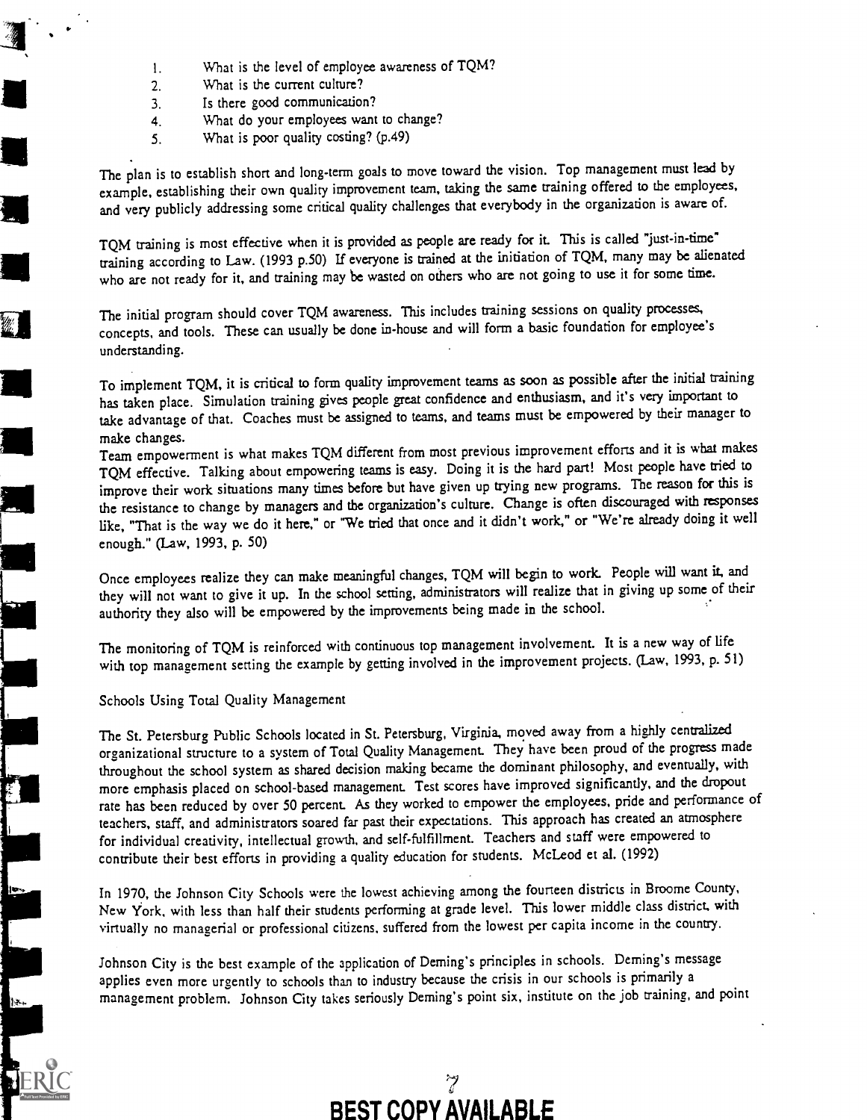- 1. What is the level of employee awareness of TQM?
- 2. What is the current culture?
- 3. Is there good communication?
- 4. What do your employees want to change?
- 5. What is poor quality costing? (p.49)

The plan is to establish short and long-term goals to move toward the vision. Top management must lead by example, establishing their own quality improvement team, taking the same training offered to the employees, and very publicly addressing some critical quality challenges that everybody in the organization is aware of.

TQM training is most effective when it is provided as people are ready for it. This is called "just-in-time" training according to Law. (1993 p.50) If everyone is trained at the initiation of TQM, many may be alienated who are not ready for it, and training may be wasted on others who are not going to use it for some time.

The initial program should cover TQM awareness. This includes training sessions on quality processes, concepts, and tools. These can usually be done in-house and will form a basic foundation for employee's understanding.

To implement TQM, it is critical to form quality improvement teams as soon as possible after the initial training has taken place. Simulation training gives people great confidence and enthusiasm, and it's very important to take advantage of that. Coaches must be assigned to teams, and teams must be empowered by their manager to make changes.

Team empowerment is what makes TQM different from most previous improvement efforts and it is what makes TQM effective. Talking about empowering teams is easy. Doing it is the hard part! Most people have tried to improve their work situations many times before but have given up trying new programs. The reason for this is the resistance to change by managers and the organization's culture. Change is often discouraged with responses like, "That is the way we do it here," or "We tried that once and it didn't work," or "We're already doing it well enough." (Law, 1993, p. 50)

Once employees realize they can make meaningful changes, TQM will begin to work. People will want it, and they will not want to give it up. In the school setting, administrators will realize that in giving up some of their authority they also will be empowered by the improvements being made in the school.

The monitoring of TQM is reinforced with continuous top management involvement. It is a new way of life with top management setting the example by getting involved in the improvement projects. (Law, 1993, p. 51)

### Schools Using Total Quality Management

The St. Petersburg Public Schools located in St. Petersburg, Virginia, moved away from a highly centralized organizational structure to a system of Total Quality Management. They have been proud of the progress made throughout the school system as shared decision making became the dominant philosophy, and eventually, with more emphasis placed on school-based management. Test scores have improved significantly, and the dropout rate has been reduced by over 50 percent. As they worked to empower the employees, pride and performance of teachers, staff, and administrators soared far past their expectations. This approach has created an atmosphere for individual creativity, intellectual growth. and self-fulfillment. Teachers and staff were empowered to contribute their best efforts in providing a quality education for students. McLeod et al. (1992)

In 1970, the Johnson City Schools were the lowest achieving among the fourteen districts in Broome County, New York, with less than half their students performing at grade level. This lower middle class district, with virtually no managerial or professional citizens, suffered from the lowest per capita income in the country.

Johnson City is the best example of the application of Deming's principles in schools. Deming's message applies even more urgently to schools than to industry because the crisis in our schools is primarily a management problem. Johnson City takes seriously Deming's point six, institute on the job training, and point



## $\mathcal{I}$ BEST COPY AVAILABLE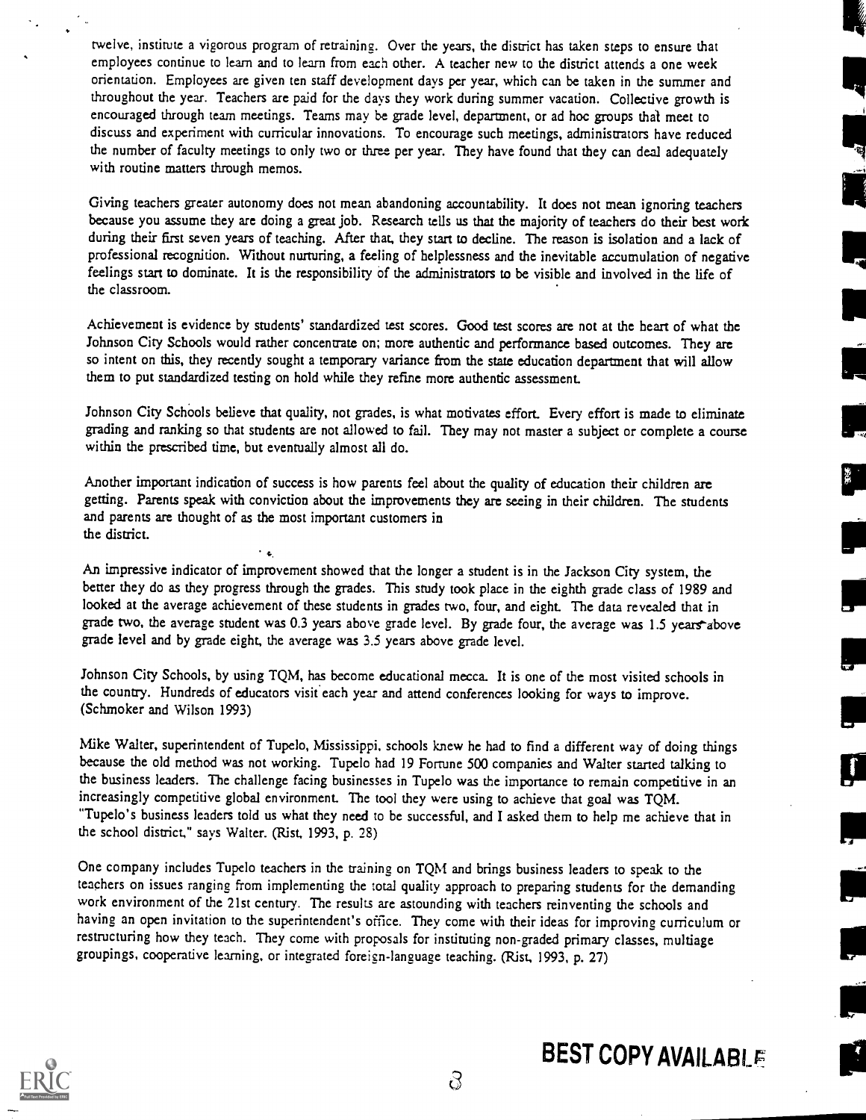twelve, institute a vigorous program of retraining. Over the years, the district has taken steps to ensure that employees continue to learn and to learn from each other. A teacher new to the district attends a one week orientation. Employees are given ten staff development days per year, which can be taken in the summer and throughout the year. Teachers are paid for the days they work during summer vacation. Collective growth is encouraged through team meetings. Teams may be grade level, department, or ad hoc groups that meet to discuss and experiment with curricular innovations. To encourage such meetings, administrators have reduced the number of faculty meetings to only two or three per year. They have found that they can deal adequately with routine matters through memos.

Giving teachers greater autonomy does not mean abandoning accountability. It does not mean ignoring teachers because you assume they are doing a great job. Research tells us that the majority of teachers do their best work during their first seven years of teaching. After that, they start to decline. The reason is isolation and a lack of professional recognition. Without nurturing, a feeling of helplessness and the inevitable accumulation of negative feelings start to dominate. It is the responsibility of the administrators to be visible and involved in the life of the classroom.

Achievement is evidence by students' standardized test scores. Good test scores are not at the heart of what the Johnson City Schools would rather concentrate on; more authentic and performance based outcomes. They are so intent on this, they recently sought a temporary variance from the state education department that will allow them to put standardized testing on hold while they refine more authentic assessment

Johnson City Schools believe that quality, not grades, is what motivates effort. Every effort is made to eliminate grading and ranking so that students are not allowed to fail. They may not master a subject or complete a course within the prescribed time, but eventually almost all do.

Another important indication of success is how parents feel about the quality of education their children are getting. Parents speak with conviction about the improvements they are seeing in their children. The students and parents are thought of as the most important customers in the district.

 $\ddot{\phantom{0}}$ 

An impressive indicator of improvement showed that the longer a student is in the Jackson City system, the better they do as they progress through the grades. This study took place in the eighth grade class of 1989 and looked at the average achievement of these students in grades two, four, and eight. The data revealed that in grade two, the average student was 0.3 years above grade level. By grade four, the average was 1.5 years above grade level and by grade eight, the average was 3.5 years above grade level.

Johnson City Schools, by using TQM, has become educational mecca. It is one of the most visited schools in the country. Hundreds of educators visit each year and attend conferences looking for ways to improve. (Schmoker and Wilson 1993)

Mike Walter, superintendent of Tupelo, Mississippi, schools knew he had to find a different way of doing things because the old method was not working. Tupelo had 19 Fortune 500 companies and Walter started talking to the business leaders. The challenge facing businesses in Tupelo was the importance to remain competitive in an increasingly competitive global environment. The tool they were using to achieve that goal was TQM. "Tupelo's business leaders told us what they need to be successful, and I asked them to help me achieve that in the school district," says Walter. (Rist, 1993, p. 28)

One company includes Tupelo teachers in the training on TQM and brings business leaders to speak to the teachers on issues ranging from implementing the total quality approach to preparing students for the demanding work environment of the 21st century. The results are astounding with teachers reinventing the schools and having an open invitation to the superintendent's office. They come with their ideas for improving curriculum or restructuring how they teach. They come with proposals for instituting non-graded primary classes, multiage groupings, cooperative learning, or integrated foreign-language teaching. (Rist, 1993, p. 27)



# BEST COPY AVAILABLE

 $\delta$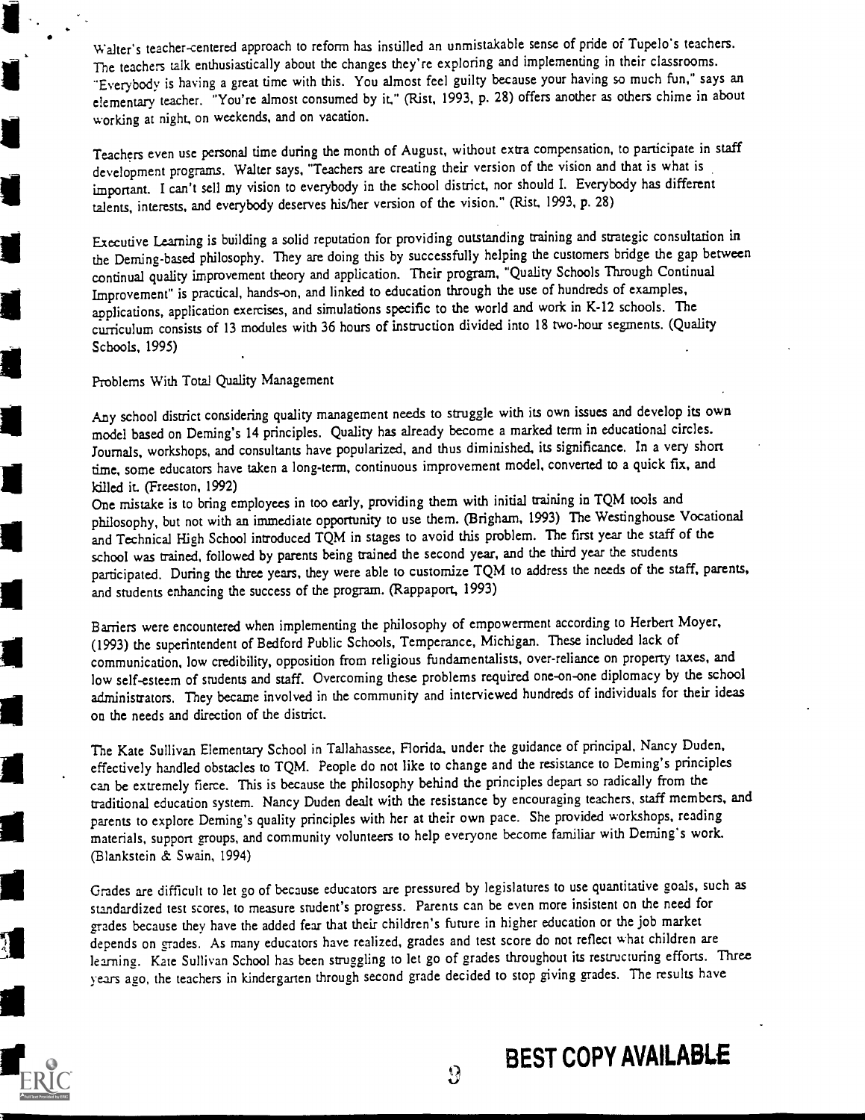Walter's teacher-centered approach to reform has instilled an unmistakable sense of pride of Tupelo's teachers. The teachers talk enthusiastically about the changes they're exploring and implementing in their classrooms. "Everybody is having a great time with this. You almost feel guilty because your having so much fun," says an elementary teacher. "You're almost consumed by it," (Rist, 1993, p. 28) offers another as others chime in about working at night, on weekends, and on vacation.

Teachers even use personal time during the month of August, without extra compensation, to participate in staff development programs. Walter says, "Teachers are creating their version of the vision and that is what is important. I can't sell my vision to everybody in the school district, nor should I. Everybody has different talents, interests, and everybody deserves his/her version of the vision." (Rist, 1993, p. 28)

Executive Learning is building a solid reputation for providing outstanding training and strategic consultation in the Deming -based philosophy. They are doing this by successfully helping the customers bridge the gap between continual quality improvement theory and application. Their program, "Quality Schools Through Continual Improvement" is practical, hands-on, and linked to education through the use of hundreds of examples, applications, application exercises, and simulations specific to the world and work in K-12 schools. The curriculum consists of 13 modules with 36 hours of instruction divided into 18 two-hour segments. (Quality Schools, 1995)

Problems With Total Quality Management

Any school district considering quality management needs to struggle with its own issues and develop its own model based on Deming's 14 principles. Quality has already become a marked term in educational circles. Journals, workshops, and consultants have popularized, and thus diminished, its significance. In a very short time, some educators have taken a long-term, continuous improvement model, converted to a quick fix, and killed it. (Freeston, 1992)

One mistake is to bring employees in too early, providing them with initial training in TQM tools and philosophy, but not with an immediate opportunity to use them. (Brigham, 1993) The Westinghouse Vocational and Technical High School introduced TQM in stages to avoid this problem. The first year the staff of the school was trained, followed by parents being trained the second year, and the third year the students participated. During the three years, they were able to customize TQM to address the needs of the staff, parents, and students enhancing the success of the program. (Rappaport, 1993)

Barriers were encountered when implementing the philosophy of empowerment according to Herbert Moyer, (1993) the superintendent of Bedford Public Schools, Temperance, Michigan. These included lack of communication, low credibility, opposition from religious fundamentalists, over-reliance on property taxes, and low self-esteem of students and staff. Overcoming these problems required one-on-one diplomacy by the school administrators. They became involved in the community and interviewed hundreds of individuals for their ideas on the needs and direction of the district.

The Kate Sullivan Elementary School in Tallahassee, Florida, under the guidance of principal, Nancy Duden, effectively handled obstacles to TQM. People do not like to change and the resistance to Deming's principles can be extremely fierce. This is because the philosophy behind the principles depart so radically from the traditional education system. Nancy Duden dealt with the resistance by encouraging teachers, staff members, and parents to explore Deming's quality principles with her at their own pace. She provided workshops, reading materials, support groups, and community volunteers to help everyone become familiar with Deming's work. (Blankstein & Swain, 1994)

Grades are difficult to let go of because educators are pressured by legislatures to use quantitative goals, such as standardized test scores, to measure student's progress. Parents can be even more insistent on the need for grades because they have the added fear that their children's future in higher education or the job market depends on grades. As many educators have realized, grades and test score do not reflect what children are learning. Kate Sullivan School has been struggling to let go of grades throughout its restructuring efforts. Three years ago, the teachers in kindergarten through second grade decided to stop giving grades. The results have

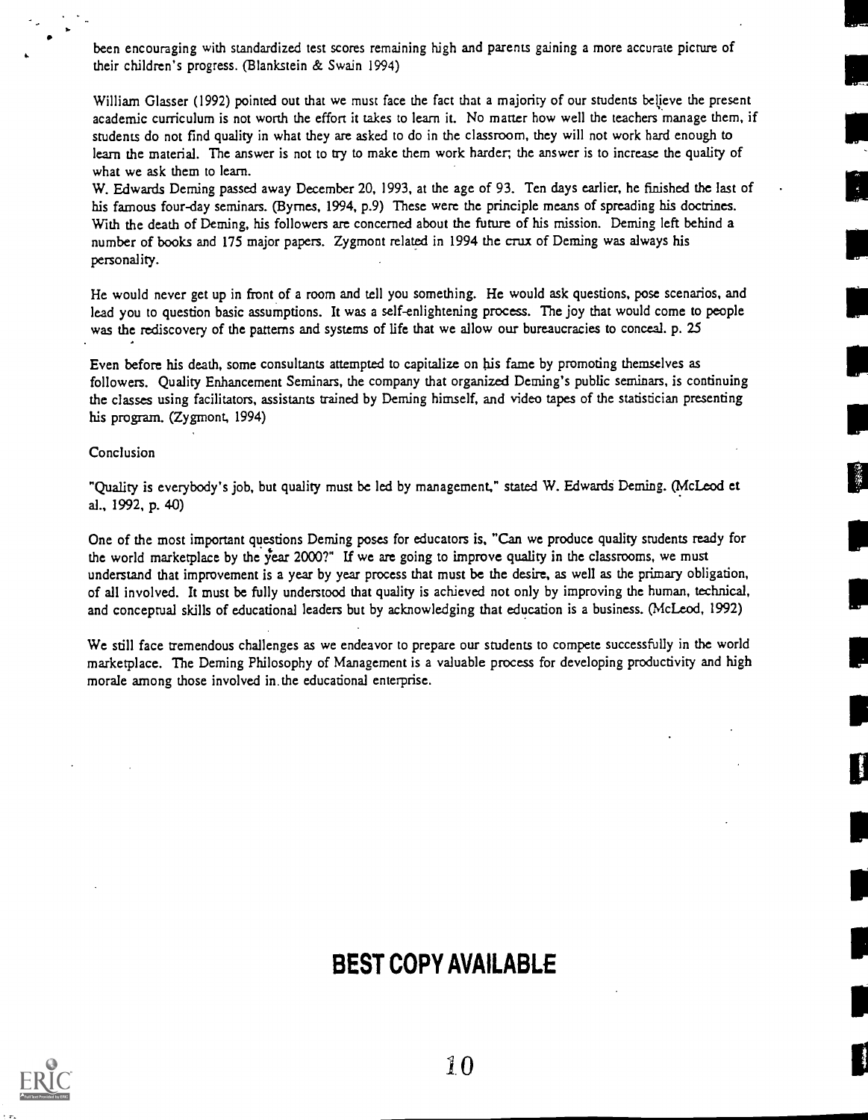been encouraging with standardized test scores remaining high and parents gaining a more accurate picture of their children's progress. (Blankstein & Swain 1994)

William Glasser (1992) pointed out that we must face the fact that a majority of our students believe the present academic curriculum is not worth the effort it takes to learn it. No matter how well the teachers manage them, if students do not find quality in what they are asked to do in the classroom, they will not work hard enough to learn the material. The answer is not to try to make them work harder, the answer is to increase the quality of what we ask them to learn.

W. Edwards Deming passed away December 20, 1993, at the age of 93. Ten days earlier, he finished the last of his famous four-day seminars. (Byrnes, 1994, p.9) These were the principle means of spreading his doctrines. With the death of Deming, his followers are concerned about the future of his mission. Deming left behind a number of books and 175 major papers. Zygmont related in 1994 the crux of Deming was always his personality.

He would never get up in front of a room and tell you something. He would ask questions, pose scenarios, and lead you to question basic assumptions. It was a self-enlightening process. The joy that would come to people was the rediscovery of the patterns and systems of life that we allow our bureaucracies to conceal. p. 25

Even before his death, some consultants attempted to capitalize on his fame by promoting themselves as followers. Quality Enhancement Seminars, the company that organized Deming's public seminars, is continuing the classes using facilitators, assistants trained by Deming himself, and video tapes of the statistician presenting his program. (Zygmont, 1994)

Conclusion

"Quality is everybody's job, but quality must be led by management," stated W. Edwards Deming. (McLeod et al., 1992, p. 40)

繁

One of the most important questions Deming poses for educators is, "Can we produce quality students ready for the world marketplace by the year 2000?" If we are going to improve quality in the classrooms, we must understand that improvement is a year by year process that must be the desire, as well as the primary obligation, of all involved. It must be fully understood that quality is achieved not only by improving the human, technical, and conceptual skills of educational leaders but by acknowledging that education is a business. (McLeod, 1992)

We still face tremendous challenges as we endeavor to prepare our students to compete successfully in the world marketplace. The Deming Philosophy of Management is a valuable process for developing productivity and high morale among those involved in the educational enterprise.

# BEST COPY AVAILABLE



10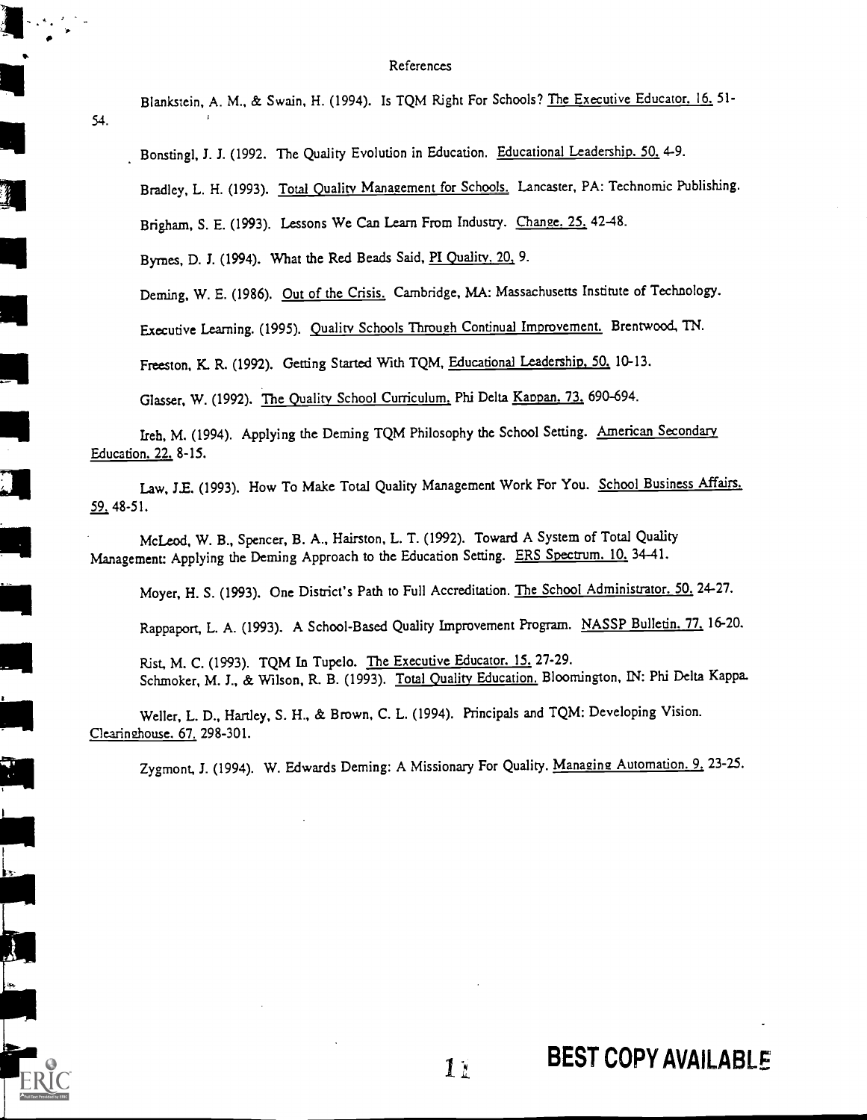### References

Blankstein, A. M., & Swain, H. (1994). Is TQM Right For Schools? The Executive Educator. 16. 51-

Bonstingl, J. J. (1992. The Quality Evolution in Education. Educational Leadership. 50. 4-9.

Bradley, L. H. (1993). Total Quality Management for Schools. Lancaster, PA: Technomic Publishing.

Brigham, S. E. (1993). Lessons We Can Learn From Industry. Change. 25. 42-48.

Byrnes, D. J. (1994). What the Red Beads Said, PI Quality, 20, 9.

2

 $\overline{\phantom{a}}$ 

54.

Deming, W. E. (1986). Out of the Crisis. Cambridge, MA: Massachusetts Institute of Technology.

Executive Learning. (1995). Quality Schools Through Continual Imorovement. Brentwood, TN.

Freeston, K. R. (1992). Getting Started With TQM, Educational Leadership, 50. 10-13.

Glasser, W. (1992). The Quality School Curriculum. Phi Delta Kaopan. 73. 690-694.

Ireh, M. (1994). Applying the Deming TQM Philosophy the School Setting. American Secondary Education. 22. 8-15.

Law, J.E. (1993). How To Make Total Quality Management Work For You. School Business Affairs. 59. 48-51.

McLeod, W. B., Spencer, B. A., Hairston, L. T. (1992). Toward A System of Total Quality Management: Applying the Deming Approach to the Education Setting. ERS Spectrum. 10, 34-41.

Moyer, H. S. (1993). One District's Path to Full Accreditation. The School Administrator. 50. 24-27.

Rappaport, L. A. (1993). A School-Based Quality Improvement Program. NASSP Bulletin. 77. 16-20.

Rist, M. C. (1993). TQM In Tupelo. The Executive Educator. 15. 27-29. Schmoker, M. J., & Wilson, R. B. (1993). Total Quality Education. Bloomington, IN: Phi Delta Kappa.

Weller, L. D., Hartley, S. H., & Brown, C. L. (1994). Principals and TQM: Developing Vision. Clearinghouse. 67. 298-301.

Zygmont, J. (1994). W. Edwards Deming: A Missionary For Quality. Managing Automation. 9. 23-25.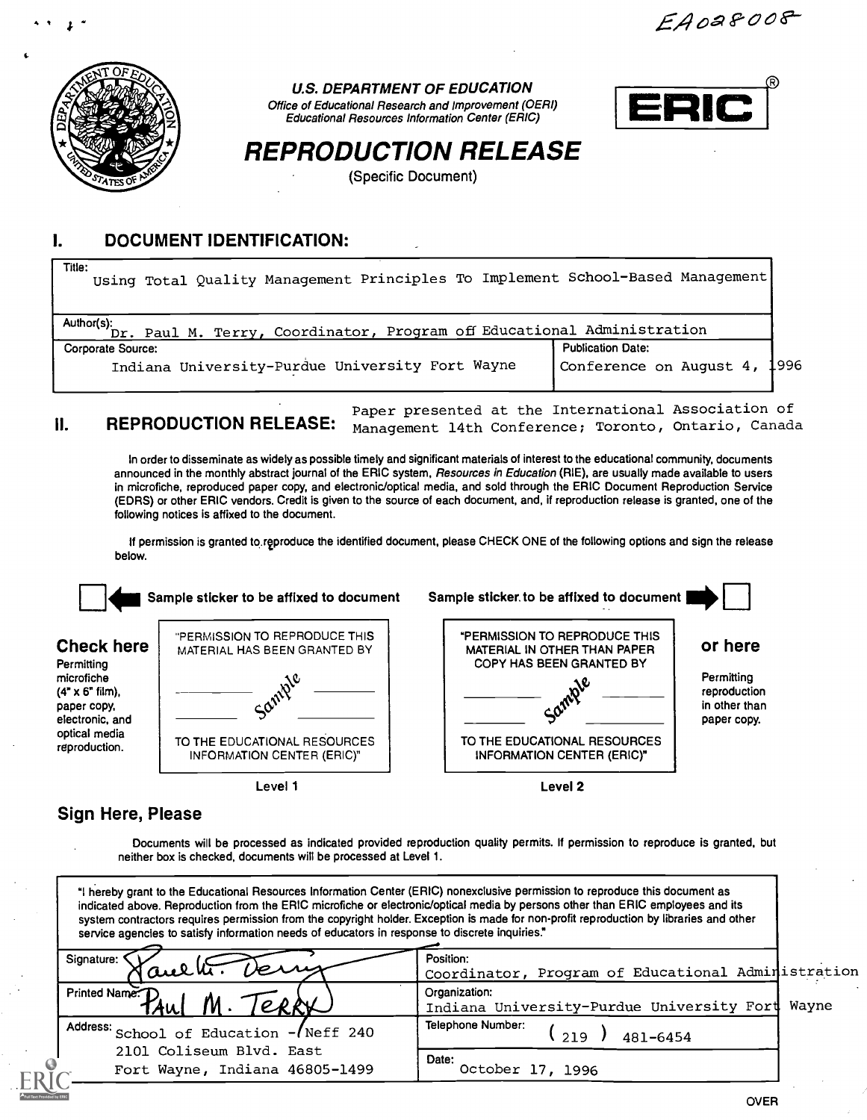EA0a8008



49 L

U.S. DEPARTMENT OF EDUCATION

Office of Educational Research and Improvement (OERI) Educational Resources Information Center (ERIC)



# REPRODUCTION RELEASE

(Specific Document)

#### I. DOCUMENT IDENTIFICATION:

| Title:<br>Using Total Quality Management Principles To Implement School-Based Management |                              |  |  |
|------------------------------------------------------------------------------------------|------------------------------|--|--|
| Author(s): Dr. Paul M. Terry, Coordinator, Program off Educational Administration        |                              |  |  |
| Corporate Source:                                                                        | <b>Publication Date:</b>     |  |  |
| Indiana University-Purdue University Fort Wayne                                          | Conference on August 4, 1996 |  |  |

II. REPRODUCTION RELEASE: Paper presented at the International Association of Management 14th Conference; Toronto, Ontario, Canada

In order to disseminate as widely as possible timely and significant materials of interest to the educational community, documents announced in the monthly abstract journal of the ERIC system, Resources in Education (RIE), are usually made available to users in microfiche, reproduced paper copy, and electronic/optical media, and sold through the ERIC Document Reproduction Service (EDRS) or other ERIC vendors. Credit is given to the source of each document, and, if reproduction release is granted, one of the following notices is affixed to the document.

If permission is granted to reproduce the identified document, please CHECK ONE of the following options and sign the release below.



### Sign Here, Please

Documents will be processed as indicated provided reproduction quality permits. If permission to reproduce is granted, but neither box is checked, documents will be processed at Level 1.

"I hereby grant to the Educational Resources Information Center (ERIC) nonexclusive permission to reproduce this document as indicated above. Reproduction from the ERIC microfiche or electronic/optical media by persons other than ERIC employees and its system contractors requires permission from the copyright holder. Exception is made for non-profit reproduction by libraries and other service agencies to satisfy information needs of educators in response to discrete inquiries."

| Signature:<br>Taulti. Verry             | Position:                            |                                                                                                       |
|-----------------------------------------|--------------------------------------|-------------------------------------------------------------------------------------------------------|
| Printed Name: D<br>TAWI                 | Organization:                        |                                                                                                       |
| Address: School of Education - Neff 240 | Telephone Number:<br>219<br>481-6454 |                                                                                                       |
| Fort Wayne, Indiana 46805-1499          | Date:<br>October 17, 1996            |                                                                                                       |
|                                         | 2101 Coliseum Blvd. East             | Coordinator, Program of Educational Administration<br>Indiana University-Purdue University Fort Wayne |